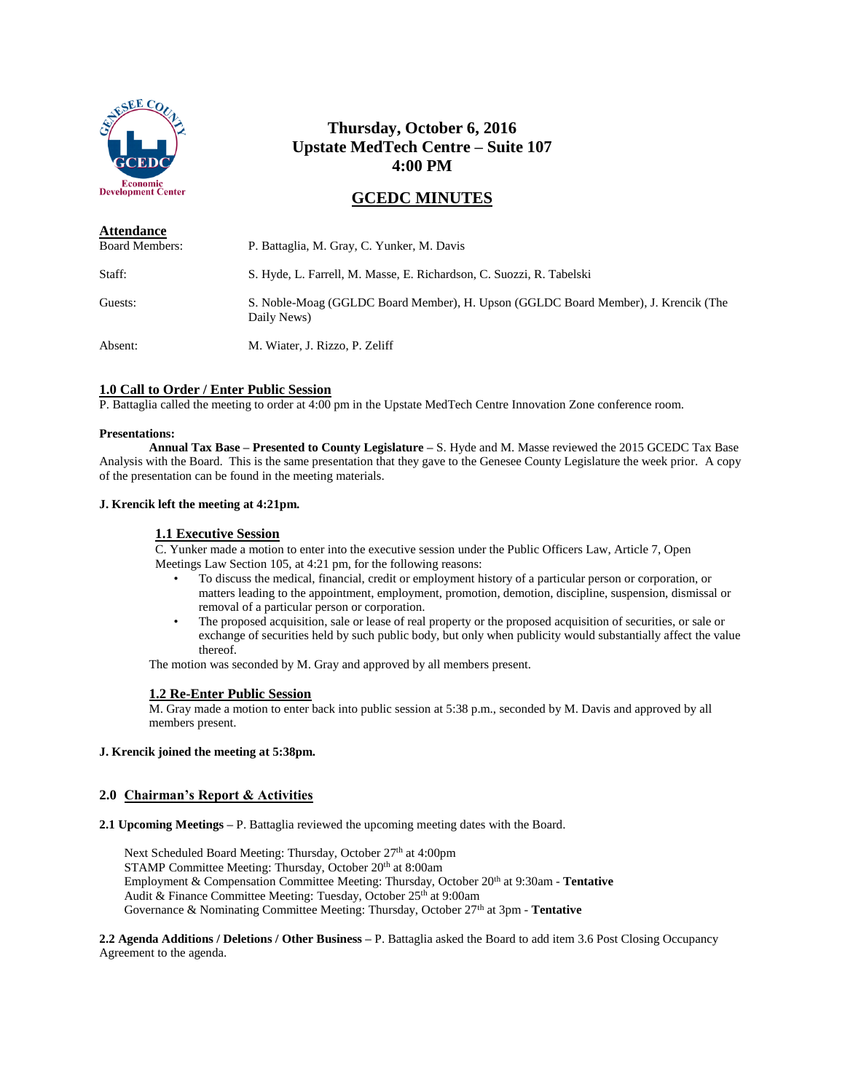

# **Thursday, October 6, 2016 Upstate MedTech Centre – Suite 107 4:00 PM**

# **GCEDC MINUTES**

| <b>Attendance</b>     |                                                                                                   |
|-----------------------|---------------------------------------------------------------------------------------------------|
| <b>Board Members:</b> | P. Battaglia, M. Gray, C. Yunker, M. Davis                                                        |
| Staff:                | S. Hyde, L. Farrell, M. Masse, E. Richardson, C. Suozzi, R. Tabelski                              |
| Guests:               | S. Noble-Moag (GGLDC Board Member), H. Upson (GGLDC Board Member), J. Krencik (The<br>Daily News) |
| Absent:               | M. Wiater, J. Rizzo, P. Zeliff                                                                    |

# **1.0 Call to Order / Enter Public Session**

P. Battaglia called the meeting to order at 4:00 pm in the Upstate MedTech Centre Innovation Zone conference room.

### **Presentations:**

**Annual Tax Base – Presented to County Legislature –** S. Hyde and M. Masse reviewed the 2015 GCEDC Tax Base Analysis with the Board. This is the same presentation that they gave to the Genesee County Legislature the week prior. A copy of the presentation can be found in the meeting materials.

### **J. Krencik left the meeting at 4:21pm.**

# **1.1 Executive Session**

C. Yunker made a motion to enter into the executive session under the Public Officers Law, Article 7, Open Meetings Law Section 105, at 4:21 pm, for the following reasons:

- To discuss the medical, financial, credit or employment history of a particular person or corporation, or matters leading to the appointment, employment, promotion, demotion, discipline, suspension, dismissal or removal of a particular person or corporation.
- The proposed acquisition, sale or lease of real property or the proposed acquisition of securities, or sale or exchange of securities held by such public body, but only when publicity would substantially affect the value thereof.

The motion was seconded by M. Gray and approved by all members present.

# **1.2 Re-Enter Public Session**

M. Gray made a motion to enter back into public session at 5:38 p.m., seconded by M. Davis and approved by all members present.

### **J. Krencik joined the meeting at 5:38pm.**

# **2.0 Chairman's Report & Activities**

**2.1 Upcoming Meetings –** P. Battaglia reviewed the upcoming meeting dates with the Board.

Next Scheduled Board Meeting: Thursday, October 27<sup>th</sup> at 4:00pm STAMP Committee Meeting: Thursday, October 20<sup>th</sup> at 8:00am Employment & Compensation Committee Meeting: Thursday, October 20<sup>th</sup> at 9:30am - **Tentative** Audit & Finance Committee Meeting: Tuesday, October 25th at 9:00am Governance & Nominating Committee Meeting: Thursday, October 27<sup>th</sup> at 3pm - **Tentative** 

**2.2 Agenda Additions / Deletions / Other Business –** P. Battaglia asked the Board to add item 3.6 Post Closing Occupancy Agreement to the agenda.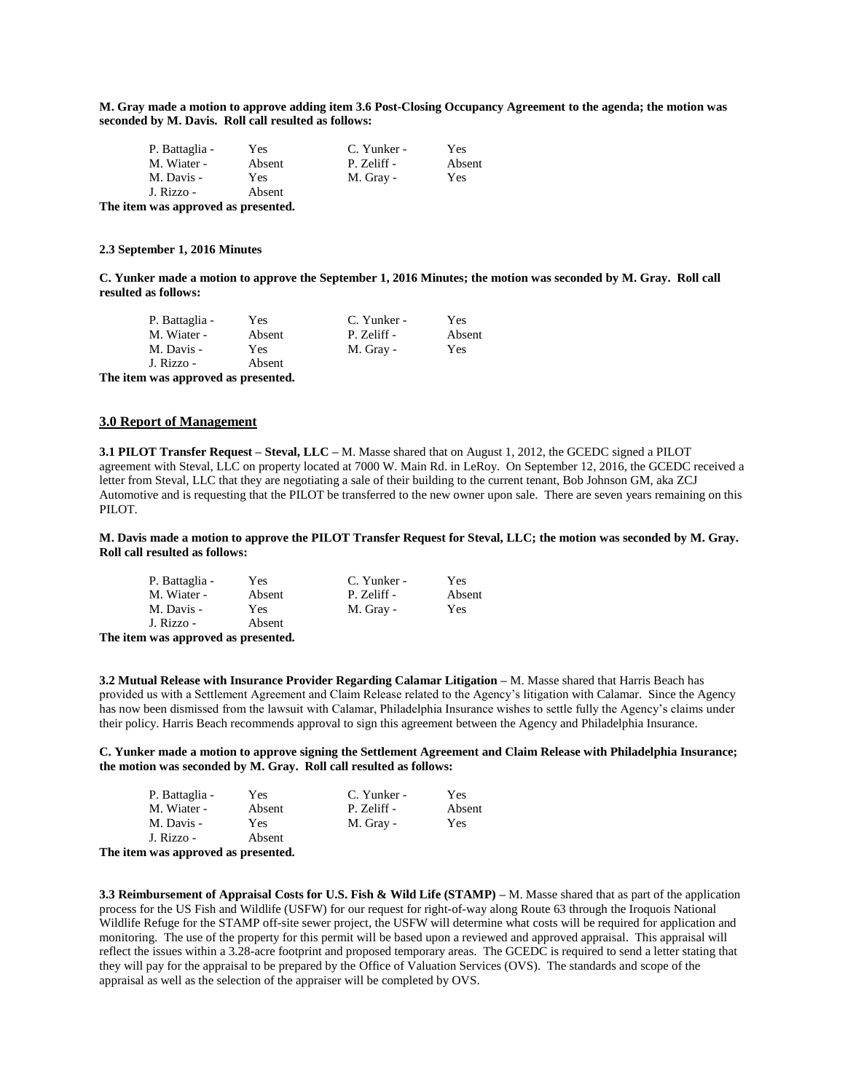**M. Gray made a motion to approve adding item 3.6 Post-Closing Occupancy Agreement to the agenda; the motion was seconded by M. Davis. Roll call resulted as follows:**

| P. Battaglia - | Yes    | C. Yunker - | Yes    |
|----------------|--------|-------------|--------|
| M. Wiater -    | Absent | P. Zeliff - | Absent |
| M. Davis -     | Yes.   | M. Gray -   | Yes    |
| J. Rizzo -     | Absent |             |        |

**The item was approved as presented.**

### **2.3 September 1, 2016 Minutes**

**C. Yunker made a motion to approve the September 1, 2016 Minutes; the motion was seconded by M. Gray. Roll call resulted as follows:**

| P. Battaglia - | Yes    | C. Yunker - | Yes        |
|----------------|--------|-------------|------------|
| M. Wiater -    | Absent | P. Zeliff - | Absent     |
| M. Davis -     | Yes    | M. Gray -   | <b>Yes</b> |
| J. Rizzo -     | Absent |             |            |

**The item was approved as presented.**

#### **3.0 Report of Management**

**3.1 PILOT Transfer Request – Steval, LLC –** M. Masse shared that on August 1, 2012, the GCEDC signed a PILOT agreement with Steval, LLC on property located at 7000 W. Main Rd. in LeRoy. On September 12, 2016, the GCEDC received a letter from Steval, LLC that they are negotiating a sale of their building to the current tenant, Bob Johnson GM, aka ZCJ Automotive and is requesting that the PILOT be transferred to the new owner upon sale. There are seven years remaining on this PILOT.

### **M. Davis made a motion to approve the PILOT Transfer Request for Steval, LLC; the motion was seconded by M. Gray. Roll call resulted as follows:**

| P. Battaglia -                         | Yes    | C. Yunker - | Yes    |
|----------------------------------------|--------|-------------|--------|
| M. Wiater -                            | Absent | P. Zeliff - | Absent |
| M. Davis -                             | Yes.   | M. Gray -   | Yes    |
| J. Rizzo -                             | Absent |             |        |
| The field case and annual as measuried |        |             |        |

**The item was approved as presented.**

**3.2 Mutual Release with Insurance Provider Regarding Calamar Litigation –** M. Masse shared that Harris Beach has provided us with a Settlement Agreement and Claim Release related to the Agency's litigation with Calamar. Since the Agency has now been dismissed from the lawsuit with Calamar, Philadelphia Insurance wishes to settle fully the Agency's claims under their policy. Harris Beach recommends approval to sign this agreement between the Agency and Philadelphia Insurance.

**C. Yunker made a motion to approve signing the Settlement Agreement and Claim Release with Philadelphia Insurance; the motion was seconded by M. Gray. Roll call resulted as follows:**

| P. Battaglia - | Yes    | C. Yunker - | Yes    |
|----------------|--------|-------------|--------|
| M. Wiater -    | Absent | P. Zeliff - | Absent |
| M. Davis -     | Yes    | M. Gray -   | Yes    |
| J. Rizzo -     | Absent |             |        |

**The item was approved as presented.**

**3.3 Reimbursement of Appraisal Costs for U.S. Fish & Wild Life (STAMP)** – M. Masse shared that as part of the application process for the US Fish and Wildlife (USFW) for our request for right-of-way along Route 63 through the Iroquois National Wildlife Refuge for the STAMP off-site sewer project, the USFW will determine what costs will be required for application and monitoring. The use of the property for this permit will be based upon a reviewed and approved appraisal. This appraisal will reflect the issues within a 3.28-acre footprint and proposed temporary areas. The GCEDC is required to send a letter stating that they will pay for the appraisal to be prepared by the Office of Valuation Services (OVS). The standards and scope of the appraisal as well as the selection of the appraiser will be completed by OVS.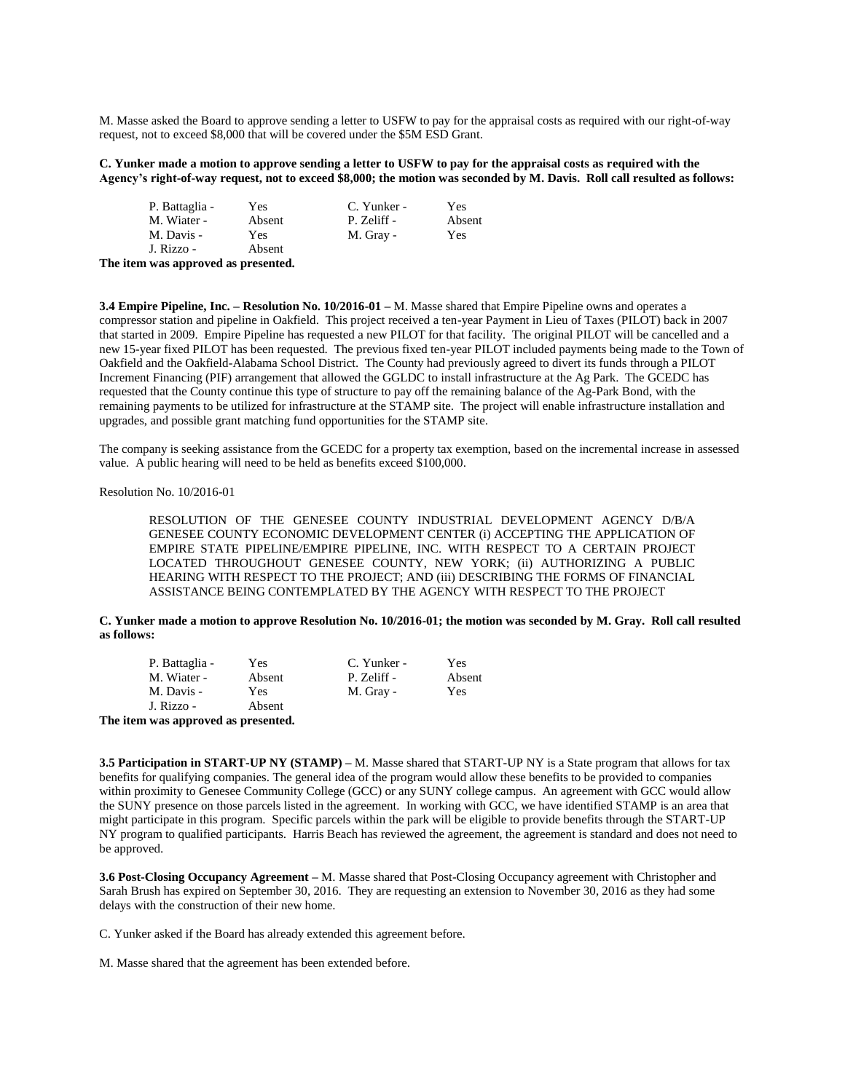M. Masse asked the Board to approve sending a letter to USFW to pay for the appraisal costs as required with our right-of-way request, not to exceed \$8,000 that will be covered under the \$5M ESD Grant.

### **C. Yunker made a motion to approve sending a letter to USFW to pay for the appraisal costs as required with the Agency's right-of-way request, not to exceed \$8,000; the motion was seconded by M. Davis. Roll call resulted as follows:**

| P. Battaglia - | Yes    | C. Yunker - | <b>Yes</b> |
|----------------|--------|-------------|------------|
| M. Wiater -    | Absent | P. Zeliff - | Absent     |
| M. Davis -     | Yes    | M. Gray -   | Yes        |
| J. Rizzo -     | Absent |             |            |

**The item was approved as presented.**

**3.4 Empire Pipeline, Inc. – Resolution No. 10/2016-01 –** M. Masse shared that Empire Pipeline owns and operates a compressor station and pipeline in Oakfield. This project received a ten-year Payment in Lieu of Taxes (PILOT) back in 2007 that started in 2009. Empire Pipeline has requested a new PILOT for that facility. The original PILOT will be cancelled and a new 15-year fixed PILOT has been requested. The previous fixed ten-year PILOT included payments being made to the Town of Oakfield and the Oakfield-Alabama School District. The County had previously agreed to divert its funds through a PILOT Increment Financing (PIF) arrangement that allowed the GGLDC to install infrastructure at the Ag Park. The GCEDC has requested that the County continue this type of structure to pay off the remaining balance of the Ag-Park Bond, with the remaining payments to be utilized for infrastructure at the STAMP site. The project will enable infrastructure installation and upgrades, and possible grant matching fund opportunities for the STAMP site.

The company is seeking assistance from the GCEDC for a property tax exemption, based on the incremental increase in assessed value. A public hearing will need to be held as benefits exceed \$100,000.

Resolution No. 10/2016-01

RESOLUTION OF THE GENESEE COUNTY INDUSTRIAL DEVELOPMENT AGENCY D/B/A GENESEE COUNTY ECONOMIC DEVELOPMENT CENTER (i) ACCEPTING THE APPLICATION OF EMPIRE STATE PIPELINE/EMPIRE PIPELINE, INC. WITH RESPECT TO A CERTAIN PROJECT LOCATED THROUGHOUT GENESEE COUNTY, NEW YORK; (ii) AUTHORIZING A PUBLIC HEARING WITH RESPECT TO THE PROJECT; AND (iii) DESCRIBING THE FORMS OF FINANCIAL ASSISTANCE BEING CONTEMPLATED BY THE AGENCY WITH RESPECT TO THE PROJECT

**C. Yunker made a motion to approve Resolution No. 10/2016-01; the motion was seconded by M. Gray. Roll call resulted as follows:**

| P. Battaglia - | Yes    | C. Yunker - | Yes    |
|----------------|--------|-------------|--------|
| M. Wiater -    | Absent | P. Zeliff - | Absent |
| M. Davis -     | Yes    | M. Gray -   | Yes    |
| J. Rizzo -     | Absent |             |        |

**The item was approved as presented.**

**3.5 Participation in START-UP NY (STAMP) –** M. Masse shared that START-UP NY is a State program that allows for tax benefits for qualifying companies. The general idea of the program would allow these benefits to be provided to companies within proximity to Genesee Community College (GCC) or any SUNY college campus. An agreement with GCC would allow the SUNY presence on those parcels listed in the agreement. In working with GCC, we have identified STAMP is an area that might participate in this program. Specific parcels within the park will be eligible to provide benefits through the START-UP NY program to qualified participants. Harris Beach has reviewed the agreement, the agreement is standard and does not need to be approved.

**3.6 Post-Closing Occupancy Agreement –** M. Masse shared that Post-Closing Occupancy agreement with Christopher and Sarah Brush has expired on September 30, 2016. They are requesting an extension to November 30, 2016 as they had some delays with the construction of their new home.

C. Yunker asked if the Board has already extended this agreement before.

M. Masse shared that the agreement has been extended before.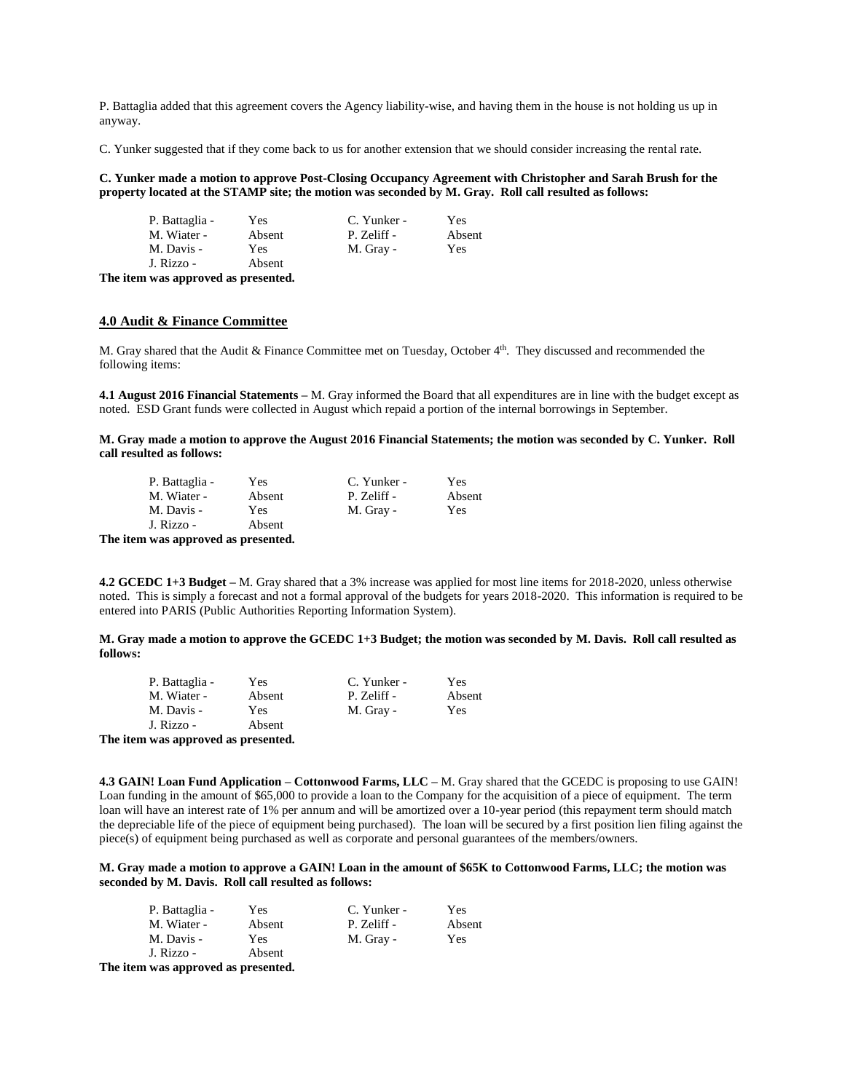P. Battaglia added that this agreement covers the Agency liability-wise, and having them in the house is not holding us up in anyway.

C. Yunker suggested that if they come back to us for another extension that we should consider increasing the rental rate.

**C. Yunker made a motion to approve Post-Closing Occupancy Agreement with Christopher and Sarah Brush for the property located at the STAMP site; the motion was seconded by M. Gray. Roll call resulted as follows:**

| P. Battaglia - | Yes    | C. Yunker - | Yes.   |
|----------------|--------|-------------|--------|
| M. Wiater -    | Absent | P. Zeliff - | Absent |
| M. Davis -     | Yes    | M. Gray -   | Yes    |
| J. Rizzo -     | Absent |             |        |
|                |        |             |        |

**The item was approved as presented.**

# **4.0 Audit & Finance Committee**

M. Gray shared that the Audit & Finance Committee met on Tuesday, October 4th . They discussed and recommended the following items:

**4.1 August 2016 Financial Statements –** M. Gray informed the Board that all expenditures are in line with the budget except as noted. ESD Grant funds were collected in August which repaid a portion of the internal borrowings in September.

**M. Gray made a motion to approve the August 2016 Financial Statements; the motion was seconded by C. Yunker. Roll call resulted as follows:**

|      | P. Battaglia - | Yes    | C. Yunker - | Yes    |
|------|----------------|--------|-------------|--------|
|      | M. Wiater -    | Absent | P. Zeliff - | Absent |
|      | M. Davis -     | Yes    | M. Gray -   | Yes    |
|      | J. Rizzo -     | Absent |             |        |
| ____ |                |        |             |        |

**The item was approved as presented.**

**4.2 GCEDC 1+3 Budget –** M. Gray shared that a 3% increase was applied for most line items for 2018-2020, unless otherwise noted. This is simply a forecast and not a formal approval of the budgets for years 2018-2020. This information is required to be entered into PARIS (Public Authorities Reporting Information System).

**M. Gray made a motion to approve the GCEDC 1+3 Budget; the motion was seconded by M. Davis. Roll call resulted as follows:**

| P. Battaglia -                         | Yes    | C. Yunker - | Yes    |
|----------------------------------------|--------|-------------|--------|
| M. Wiater -                            | Absent | P. Zeliff - | Absent |
| M. Davis -                             | Yes    | M. Gray -   | Yes    |
| J. Rizzo -                             | Absent |             |        |
| The field case and annual as measuried |        |             |        |

**The item was approved as presented.**

**4.3 GAIN! Loan Fund Application – Cottonwood Farms, LLC –** M. Gray shared that the GCEDC is proposing to use GAIN! Loan funding in the amount of \$65,000 to provide a loan to the Company for the acquisition of a piece of equipment. The term loan will have an interest rate of 1% per annum and will be amortized over a 10-year period (this repayment term should match the depreciable life of the piece of equipment being purchased). The loan will be secured by a first position lien filing against the piece(s) of equipment being purchased as well as corporate and personal guarantees of the members/owners.

**M. Gray made a motion to approve a GAIN! Loan in the amount of \$65K to Cottonwood Farms, LLC; the motion was seconded by M. Davis. Roll call resulted as follows:**

| P. Battaglia -                         | Yes    | C. Yunker - | Yes    |
|----------------------------------------|--------|-------------|--------|
| M. Wiater -                            | Absent | P. Zeliff - | Absent |
| M. Davis -                             | Yes.   | M. Gray -   | Yes    |
| J. Rizzo -                             | Absent |             |        |
| The field case and annual as measuried |        |             |        |

**The item was approved as presented.**